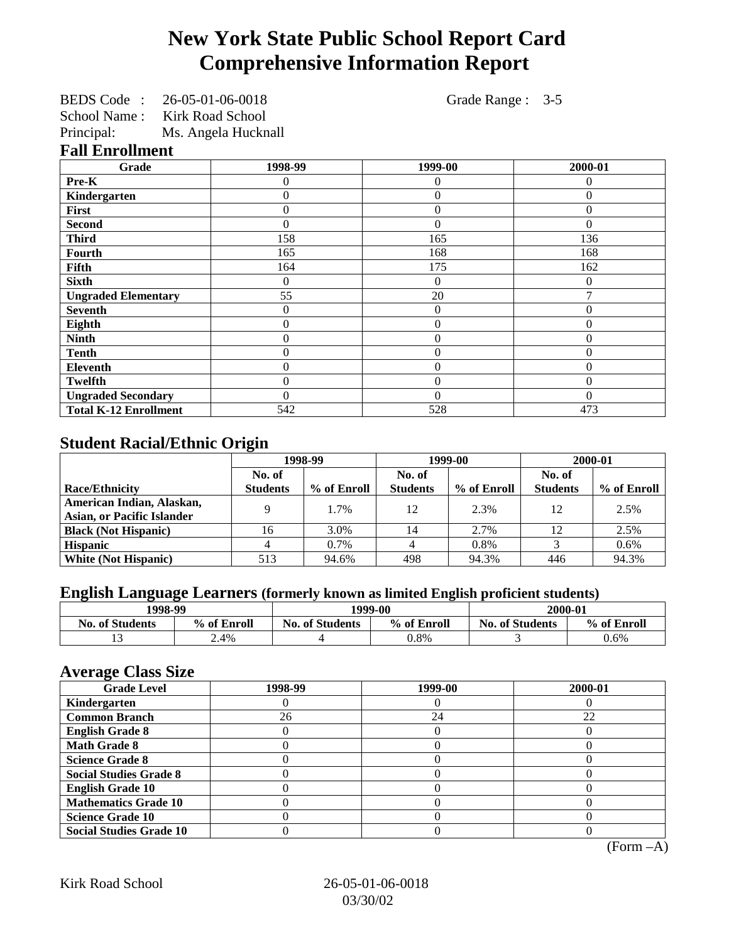# **New York State Public School Report Card Comprehensive Information Report**

BEDS Code : 26-05-01-06-0018 Grade Range : 3-5 School Name : Kirk Road School

Principal: Ms. Angela Hucknall

### **Fall Enrollment**

| Grade                        | 1998-99  | 1999-00        | 2000-01  |
|------------------------------|----------|----------------|----------|
| Pre-K                        | 0        | 0              | 0        |
| Kindergarten                 | 0        | $\theta$       | $\Omega$ |
| First                        | 0        | $\theta$       | $\Omega$ |
| <b>Second</b>                | 0        | $\theta$       | $\Omega$ |
| <b>Third</b>                 | 158      | 165            | 136      |
| <b>Fourth</b>                | 165      | 168            | 168      |
| Fifth                        | 164      | 175            | 162      |
| <b>Sixth</b>                 | 0        | $\theta$       | $\Omega$ |
| <b>Ungraded Elementary</b>   | 55       | 20             |          |
| <b>Seventh</b>               | 0        | $\Omega$       | $\Omega$ |
| Eighth                       | 0        | $\overline{0}$ | $\Omega$ |
| <b>Ninth</b>                 | 0        | $\theta$       | 0        |
| <b>Tenth</b>                 | 0        | $\overline{0}$ | $\Omega$ |
| <b>Eleventh</b>              | 0        | $\Omega$       | $\theta$ |
| <b>Twelfth</b>               | 0        | $\theta$       | $\Omega$ |
| <b>Ungraded Secondary</b>    | $\theta$ | $\theta$       | $\Omega$ |
| <b>Total K-12 Enrollment</b> | 542      | 528            | 473      |

# **Student Racial/Ethnic Origin**

|                                   | 1998-99         |             | 1999-00         |             | 2000-01         |             |
|-----------------------------------|-----------------|-------------|-----------------|-------------|-----------------|-------------|
|                                   | No. of          |             | No. of          |             | No. of          |             |
| <b>Race/Ethnicity</b>             | <b>Students</b> | % of Enroll | <b>Students</b> | % of Enroll | <b>Students</b> | % of Enroll |
| American Indian, Alaskan,         | Q               | 1.7%        | 12              | 2.3%        | 12              | 2.5%        |
| <b>Asian, or Pacific Islander</b> |                 |             |                 |             |                 |             |
| <b>Black (Not Hispanic)</b>       | 16              | 3.0%        | 14              | 2.7%        | 12              | 2.5%        |
| <b>Hispanic</b>                   |                 | $0.7\%$     |                 | 0.8%        |                 | 0.6%        |
| <b>White (Not Hispanic)</b>       | 513             | 94.6%       | 498             | 94.3%       | 446             | 94.3%       |

# **English Language Learners (formerly known as limited English proficient students)**

| 1998-99                |             | 1999-00                |             | 2000-01                |             |
|------------------------|-------------|------------------------|-------------|------------------------|-------------|
| <b>No. of Students</b> | % of Enroll | <b>No. of Students</b> | % of Enroll | <b>No. of Students</b> | % of Enroll |
|                        | 2.4%        |                        | 0.8%        |                        | 0.6%        |

#### **Average Class Size**

| $-7$<br><b>Grade Level</b>     | 1998-99 | 1999-00 | 2000-01 |
|--------------------------------|---------|---------|---------|
| Kindergarten                   |         |         |         |
| <b>Common Branch</b>           | 26      | 24      | 22      |
| <b>English Grade 8</b>         |         |         |         |
| <b>Math Grade 8</b>            |         |         |         |
| <b>Science Grade 8</b>         |         |         |         |
| <b>Social Studies Grade 8</b>  |         |         |         |
| <b>English Grade 10</b>        |         |         |         |
| <b>Mathematics Grade 10</b>    |         |         |         |
| <b>Science Grade 10</b>        |         |         |         |
| <b>Social Studies Grade 10</b> |         |         |         |

(Form –A)